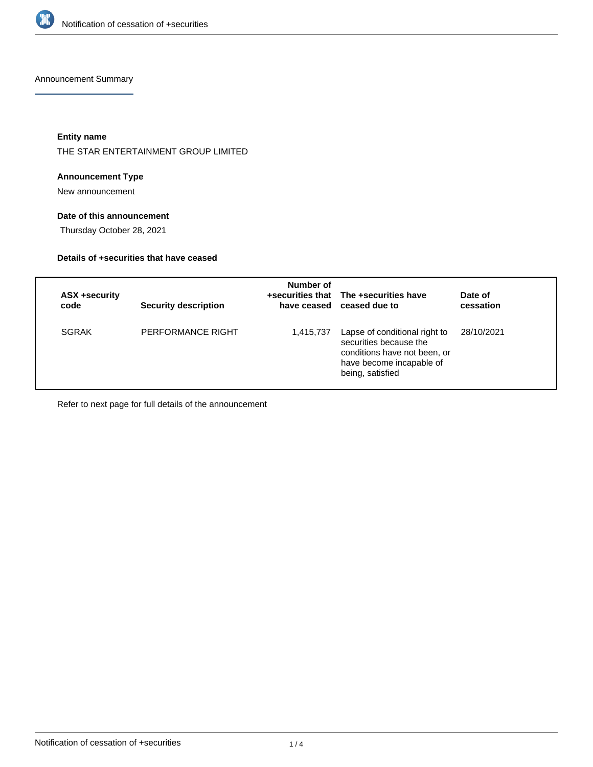

Announcement Summary

**Entity name**

THE STAR ENTERTAINMENT GROUP LIMITED

# **Announcement Type**

New announcement

# **Date of this announcement**

Thursday October 28, 2021

## **Details of +securities that have ceased**

| ASX +security<br>code | <b>Security description</b> | Number of | +securities that The +securities have<br>have ceased ceased due to                                                                      | Date of<br>cessation |
|-----------------------|-----------------------------|-----------|-----------------------------------------------------------------------------------------------------------------------------------------|----------------------|
| <b>SGRAK</b>          | PERFORMANCE RIGHT           | 1,415,737 | Lapse of conditional right to<br>securities because the<br>conditions have not been, or<br>have become incapable of<br>being, satisfied | 28/10/2021           |

Refer to next page for full details of the announcement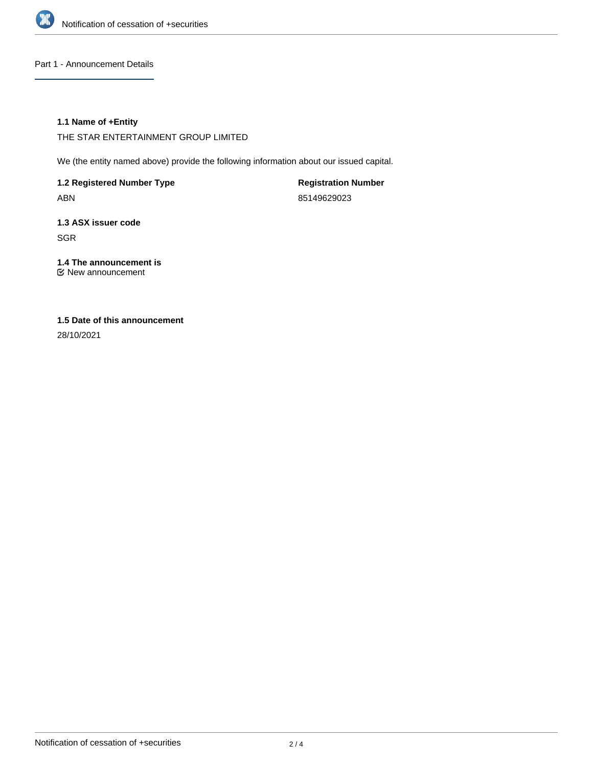

Part 1 - Announcement Details

## **1.1 Name of +Entity**

THE STAR ENTERTAINMENT GROUP LIMITED

We (the entity named above) provide the following information about our issued capital.

**1.2 Registered Number Type** ABN

**Registration Number** 85149629023

**1.3 ASX issuer code** SGR

**1.4 The announcement is** New announcement

# **1.5 Date of this announcement**

28/10/2021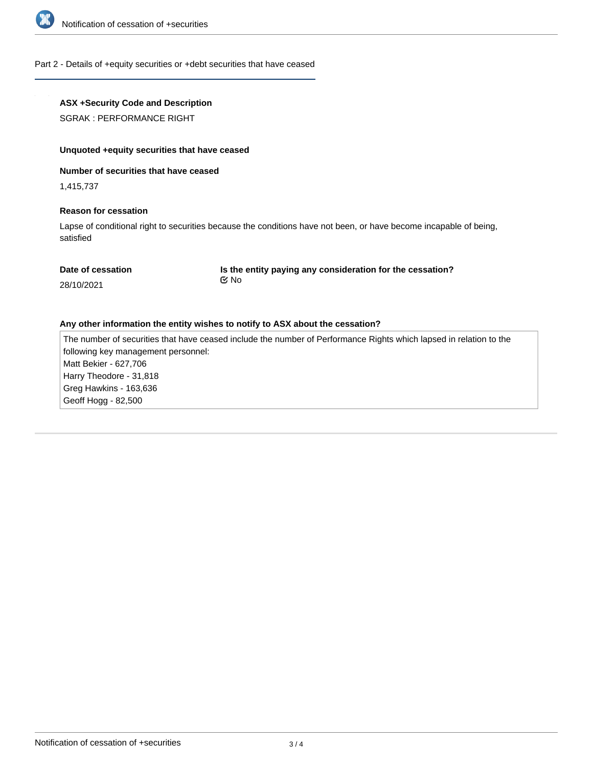

### Part 2 - Details of +equity securities or +debt securities that have ceased

## **ASX +Security Code and Description**

SGRAK : PERFORMANCE RIGHT

### **Unquoted +equity securities that have ceased**

## **Number of securities that have ceased**

1,415,737

#### **Reason for cessation**

Lapse of conditional right to securities because the conditions have not been, or have become incapable of being, satisfied

| Date of cessation |  |
|-------------------|--|
|-------------------|--|

**Is the entity paying any consideration for the cessation?** No

#### 28/10/2021

#### **Any other information the entity wishes to notify to ASX about the cessation?**

The number of securities that have ceased include the number of Performance Rights which lapsed in relation to the following key management personnel: Matt Bekier - 627,706 Harry Theodore - 31,818 Greg Hawkins - 163,636 Geoff Hogg - 82,500